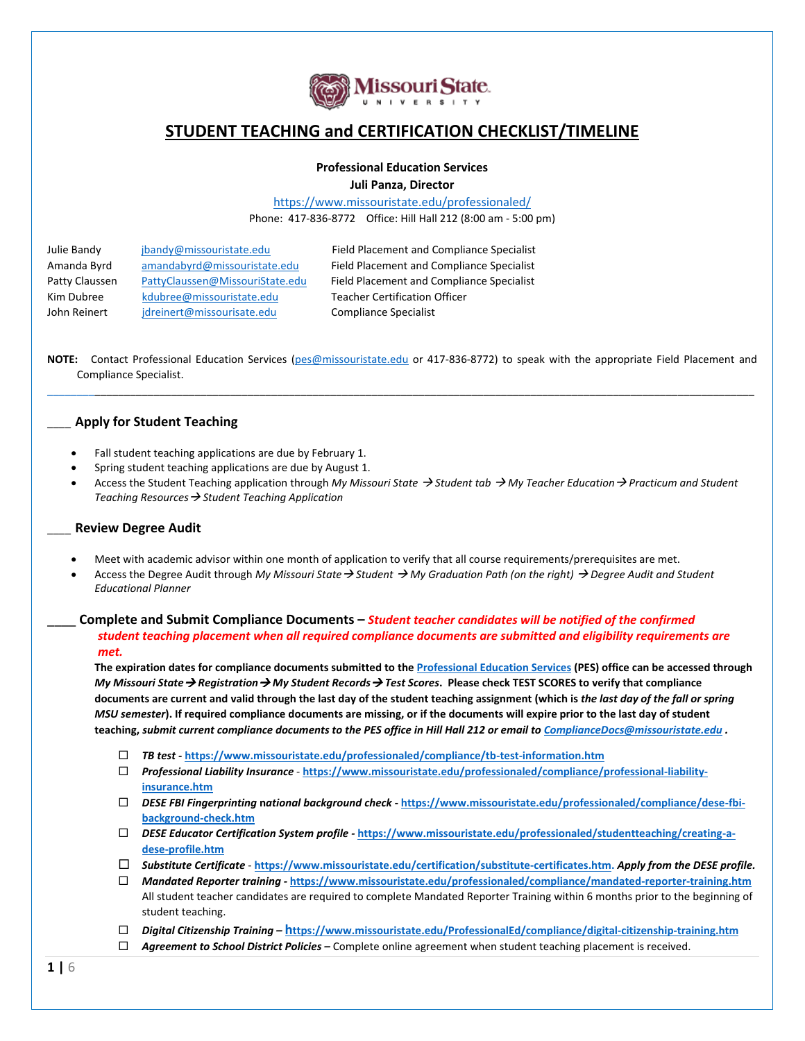

# **STUDENT TEACHING and CERTIFICATION CHECKLIST/TIMELINE**

## **Professional Education Services**

**Juli Panza, Director**

<https://www.missouristate.edu/professionaled/> Phone: 417-836-8772 Office: Hill Hall 212 (8:00 am - 5:00 pm)

| Julie Bandy    | jbandy@missouristate.edu        | Field Placement and Compliance Specialist |
|----------------|---------------------------------|-------------------------------------------|
| Amanda Byrd    | amandabyrd@missouristate.edu    | Field Placement and Compliance Specialist |
| Patty Claussen | PattyClaussen@MissouriState.edu | Field Placement and Compliance Specialist |
| Kim Dubree     | kdubree@missouristate.edu       | <b>Teacher Certification Officer</b>      |
| John Reinert   | jdreinert@missourisate.edu      | <b>Compliance Specialist</b>              |
|                |                                 |                                           |

**NOTE:** Contact Professional Education Services [\(pes@missouristate.edu](mailto:pes@missouristate.edu) or 417-836-8772) to speak with the appropriate Field Placement and Compliance Specialist. \_\_\_\_\_\_\_\_\_\_\_\_\_\_\_\_\_\_\_\_\_\_\_\_\_\_\_\_\_\_\_\_\_\_\_\_\_\_\_\_\_\_\_\_\_\_\_\_\_\_\_\_\_\_\_\_\_\_\_\_\_\_\_\_\_\_\_\_\_\_\_\_\_\_\_\_\_\_\_\_\_\_\_\_\_\_\_\_\_\_\_\_\_\_\_\_\_\_\_\_\_\_\_\_\_\_\_\_\_\_\_\_\_\_\_\_\_\_\_\_

### \_\_\_\_ **Apply for Student Teaching**

- Fall student teaching applications are due by February 1.
- Spring student teaching applications are due by August 1.
- Access the Student Teaching application through *My Missouri State Student tab My Teacher Education Practicum and Student Teaching Resources Student Teaching Application*

#### \_\_\_\_ **Review Degree Audit**

- Meet with academic advisor within one month of application to verify that all course requirements/prerequisites are met.
- Access the Degree Audit through *My Missouri State Student My Graduation Path (on the right) Degree Audit and Student Educational Planner*

### \_\_\_\_ **Complete and Submit Compliance Documents –** *Student teacher candidates will be notified of the confirmed student teaching placement when all required compliance documents are submitted and eligibility requirements are met.*

**The expiration dates for compliance documents submitted to th[e Professional Education Services](https://www.missouristate.edu/professionaled/) (PES) office can be accessed through**  *My Missouri State Registration My Student Records Test Scores***. Please check TEST SCORES to verify that compliance documents are current and valid through the last day of the student teaching assignment (which is** *the last day of the fall or spring MSU semester***). If required compliance documents are missing, or if the documents will expire prior to the last day of student teaching,** *submit current compliance documents to the PES office in Hill Hall 212 or email to [ComplianceDocs@missouristate.edu](mailto:ComplianceDocs@missouristate.edu) .*

- *TB test -* **<https://www.missouristate.edu/professionaled/compliance/tb-test-information.htm>**
- *Professional Liability Insurance*  **[https://www.missouristate.edu/professionaled/compliance/professional-liability](https://www.missouristate.edu/professionaled/compliance/professional-liability-insurance.htm)[insurance.htm](https://www.missouristate.edu/professionaled/compliance/professional-liability-insurance.htm)**
- *DESE FBI Fingerprinting* **n***ational background check* **- [https://www.missouristate.edu/professionaled/compliance/dese-fbi](https://www.missouristate.edu/professionaled/compliance/dese-fbi-background-check.htm)[background-check.htm](https://www.missouristate.edu/professionaled/compliance/dese-fbi-background-check.htm)**
- *DESE Educator Certification System profile -* **[https://www.missouristate.edu/professionaled/studentteaching/creating-a](https://www.missouristate.edu/professionaled/studentteaching/creating-a-dese-profile.htm)[dese-profile.htm](https://www.missouristate.edu/professionaled/studentteaching/creating-a-dese-profile.htm)**
- *Substitute Certificate* **[https://www.missouristate.edu/certification/substitute-certificates.htm.](https://www.missouristate.edu/certification/substitute-certificates.htm)** *Apply from the DESE profile.*
- *Mandated Reporter training -* **<https://www.missouristate.edu/professionaled/compliance/mandated-reporter-training.htm>** All student teacher candidates are required to complete Mandated Reporter Training within 6 months prior to the beginning of student teaching.
- *Digital Citizenship Training –* **h[ttps://www.missouristate.edu/ProfessionalEd/compliance/digital-citizenship-training.htm](https://www.missouristate.edu/ProfessionalEd/compliance/digital-citizenship-training.htm)**
- *Agreement to School District Policies –* Complete online agreement when student teaching placement is received.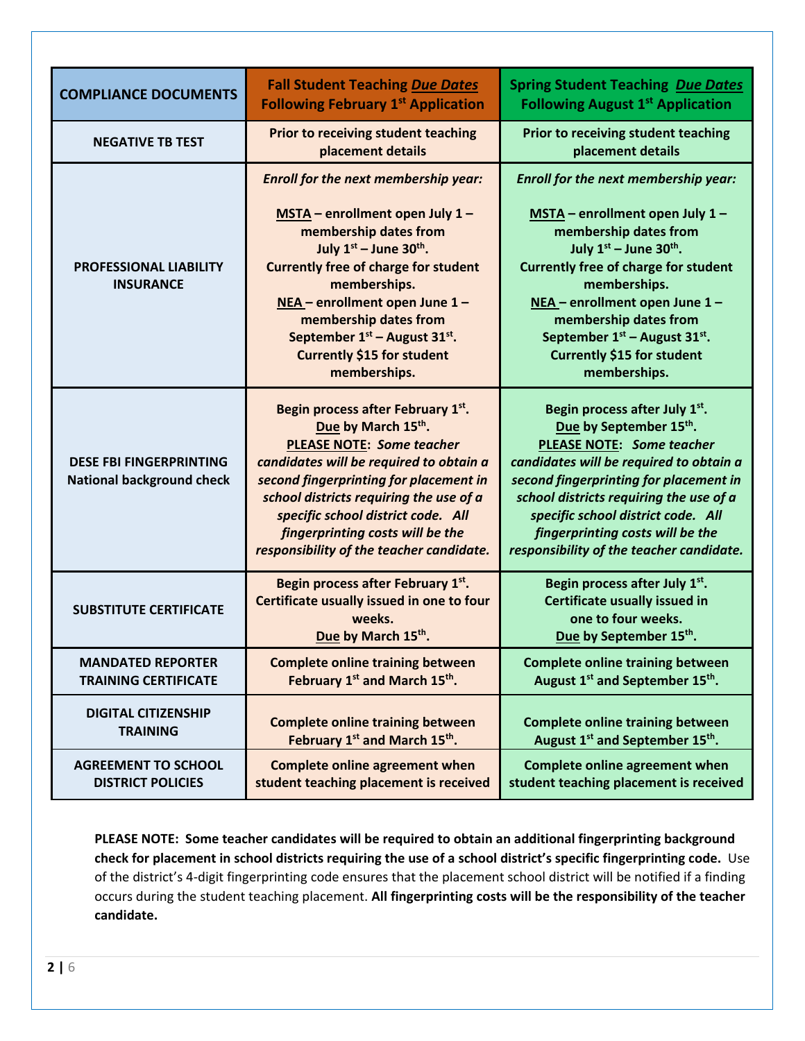| <b>COMPLIANCE DOCUMENTS</b>                                        | <b>Fall Student Teaching Due Dates</b><br><b>Following February 1st Application</b>                                                                                                                                                                                                                                                                                              | <b>Spring Student Teaching Due Dates</b><br><b>Following August 1st Application</b>                                                                                                                                                                                                                                                                                       |  |  |
|--------------------------------------------------------------------|----------------------------------------------------------------------------------------------------------------------------------------------------------------------------------------------------------------------------------------------------------------------------------------------------------------------------------------------------------------------------------|---------------------------------------------------------------------------------------------------------------------------------------------------------------------------------------------------------------------------------------------------------------------------------------------------------------------------------------------------------------------------|--|--|
| <b>NEGATIVE TB TEST</b>                                            | <b>Prior to receiving student teaching</b><br>placement details                                                                                                                                                                                                                                                                                                                  | Prior to receiving student teaching<br>placement details                                                                                                                                                                                                                                                                                                                  |  |  |
| <b>PROFESSIONAL LIABILITY</b><br><b>INSURANCE</b>                  | Enroll for the next membership year:<br>MSTA - enrollment open July 1 -<br>membership dates from<br>July $1st$ – June 30 <sup>th</sup> .<br><b>Currently free of charge for student</b><br>memberships.<br>NEA - enrollment open June 1 -<br>membership dates from<br>September 1 <sup>st</sup> – August 31 <sup>st</sup> .<br><b>Currently \$15 for student</b><br>memberships. | Enroll for the next membership year:<br>MSTA - enrollment open July 1 -<br>membership dates from<br>July $1^{st}$ – June 30 <sup>th</sup> .<br><b>Currently free of charge for student</b><br>memberships.<br>NEA - enrollment open June 1 -<br>membership dates from<br>September $1st$ – August 31 <sup>st</sup> .<br><b>Currently \$15 for student</b><br>memberships. |  |  |
| <b>DESE FBI FINGERPRINTING</b><br><b>National background check</b> | Begin process after February 1st.<br>Due by March 15th.<br><b>PLEASE NOTE: Some teacher</b><br>candidates will be required to obtain a<br>second fingerprinting for placement in<br>school districts requiring the use of a<br>specific school district code. All<br>fingerprinting costs will be the<br>responsibility of the teacher candidate.                                | Begin process after July 1st.<br>Due by September 15th.<br><b>PLEASE NOTE: Some teacher</b><br>candidates will be required to obtain a<br>second fingerprinting for placement in<br>school districts requiring the use of a<br>specific school district code. All<br>fingerprinting costs will be the<br>responsibility of the teacher candidate.                         |  |  |
| <b>SUBSTITUTE CERTIFICATE</b>                                      | Begin process after February 1st.<br>Certificate usually issued in one to four<br>weeks.<br>Due by March 15th.                                                                                                                                                                                                                                                                   | Begin process after July 1st.<br><b>Certificate usually issued in</b><br>one to four weeks.<br>Due by September 15th.                                                                                                                                                                                                                                                     |  |  |
| <b>MANDATED REPORTER</b><br><b>TRAINING CERTIFICATE</b>            | <b>Complete online training between</b><br>February 1 <sup>st</sup> and March 15 <sup>th</sup> .                                                                                                                                                                                                                                                                                 | <b>Complete online training between</b><br>August 1 <sup>st</sup> and September 15 <sup>th</sup> .                                                                                                                                                                                                                                                                        |  |  |
| <b>DIGITAL CITIZENSHIP</b><br><b>TRAINING</b>                      | <b>Complete online training between</b><br>February 1st and March 15th.                                                                                                                                                                                                                                                                                                          | <b>Complete online training between</b><br>August 1 <sup>st</sup> and September 15 <sup>th</sup> .                                                                                                                                                                                                                                                                        |  |  |
| <b>AGREEMENT TO SCHOOL</b><br><b>DISTRICT POLICIES</b>             | <b>Complete online agreement when</b><br>student teaching placement is received                                                                                                                                                                                                                                                                                                  | <b>Complete online agreement when</b><br>student teaching placement is received                                                                                                                                                                                                                                                                                           |  |  |

**PLEASE NOTE: Some teacher candidates will be required to obtain an additional fingerprinting background check for placement in school districts requiring the use of a school district's specific fingerprinting code.** Use of the district's 4-digit fingerprinting code ensures that the placement school district will be notified if a finding occurs during the student teaching placement. **All fingerprinting costs will be the responsibility of the teacher candidate.**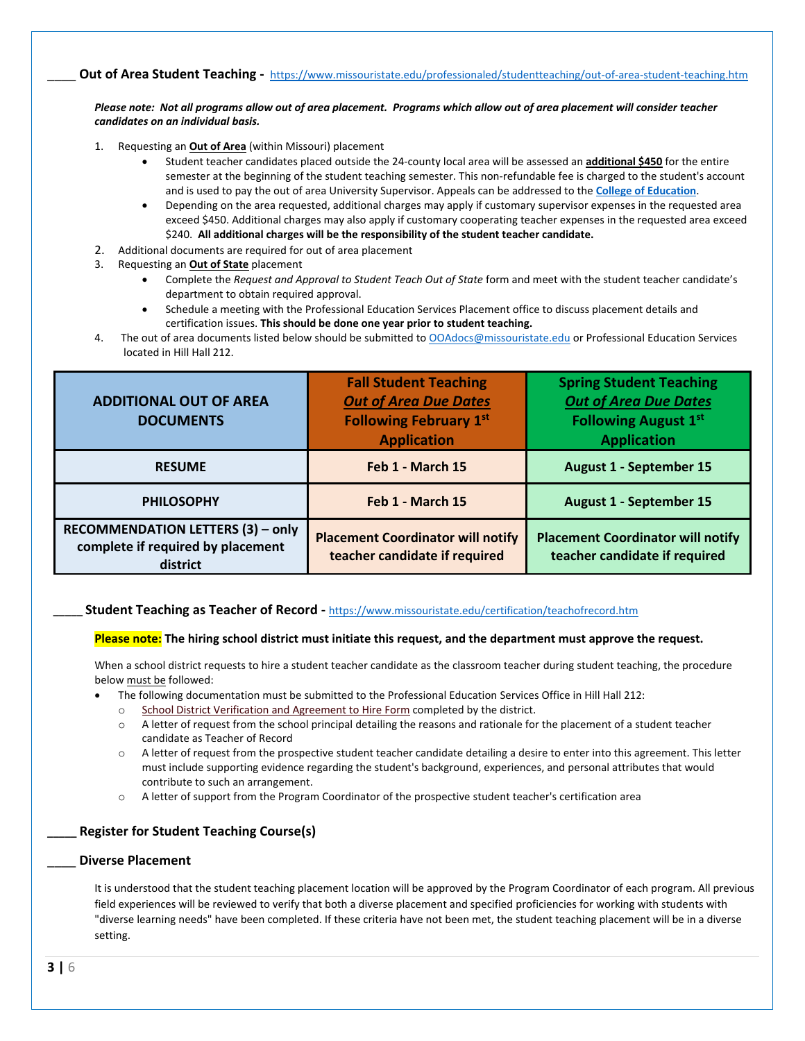\_\_\_\_ **Out of Area Student Teaching -** <https://www.missouristate.edu/professionaled/studentteaching/out-of-area-student-teaching.htm>

*Please note: Not all programs allow out of area placement. Programs which allow out of area placement will consider teacher candidates on an individual basis.*

- 1. Requesting an **Out of Area** (within Missouri) placement
	- Student teacher candidates placed outside the 24-county local area will be assessed an **additional \$450** for the entire semester at the beginning of the student teaching semester. This non-refundable fee is charged to the student's account and is used to pay the out of area University Supervisor. Appeals can be addressed to the **[College of Education](mailto:Education,%20College%20of%20%3cCollegeofEducation@MissouriState.edu%3e)**.
	- Depending on the area requested, additional charges may apply if customary supervisor expenses in the requested area exceed \$450. Additional charges may also apply if customary cooperating teacher expenses in the requested area exceed \$240. **All additional charges will be the responsibility of the student teacher candidate.**
- 2. Additional documents are required for out of area placement
- 3. Requesting an **Out of State** placement
	- Complete the *Request and Approval to Student Teach Out of State* form and meet with the student teacher candidate's department to obtain required approval.
	- Schedule a meeting with the Professional Education Services Placement office to discuss placement details and certification issues. **This should be done one year prior to student teaching.**
- 4. The out of area documents listed below should be submitted to **[OOAdocs@missouristate.edu](mailto:OOAdocs@missouristate.edu)** or Professional Education Services located in Hill Hall 212.

| <b>ADDITIONAL OUT OF AREA</b><br><b>DOCUMENTS</b>                                  | <b>Fall Student Teaching</b><br><b>Out of Area Due Dates</b><br><b>Following February 1st</b><br><b>Application</b> | <b>Spring Student Teaching</b><br><b>Out of Area Due Dates</b><br><b>Following August 1st</b><br><b>Application</b> |  |  |
|------------------------------------------------------------------------------------|---------------------------------------------------------------------------------------------------------------------|---------------------------------------------------------------------------------------------------------------------|--|--|
| <b>RESUME</b>                                                                      | Feb 1 - March 15                                                                                                    | <b>August 1 - September 15</b>                                                                                      |  |  |
| <b>PHILOSOPHY</b>                                                                  | Feb 1 - March 15                                                                                                    | <b>August 1 - September 15</b>                                                                                      |  |  |
| RECOMMENDATION LETTERS (3) - only<br>complete if required by placement<br>district | <b>Placement Coordinator will notify</b><br>teacher candidate if required                                           | <b>Placement Coordinator will notify</b><br>teacher candidate if required                                           |  |  |

#### **\_\_\_\_\_ Student Teaching as Teacher of Record -** <https://www.missouristate.edu/certification/teachofrecord.htm>

#### **Please note: The hiring school district must initiate this request, and the department must approve the request.**

When a school district requests to hire a student teacher candidate as the classroom teacher during student teaching, the procedure below must be followed:

- The following documentation must be submitted to the Professional Education Services Office in Hill Hall 212:
- o [School District Verification and Agreement to Hire Form](https://www.missouristate.edu/assets/efe/School_District_Verification_and_Agreement_to_Hire_Form.pdf) completed by the district.
- o A letter of request from the school principal detailing the reasons and rationale for the placement of a student teacher candidate as Teacher of Record
- $\circ$  A letter of request from the prospective student teacher candidate detailing a desire to enter into this agreement. This letter must include supporting evidence regarding the student's background, experiences, and personal attributes that would contribute to such an arrangement.
- o A letter of support from the Program Coordinator of the prospective student teacher's certification area

#### **\_\_\_\_\_ Register for Student Teaching Course(s)**

#### \_\_\_\_ **Diverse Placement**

It is understood that the student teaching placement location will be approved by the Program Coordinator of each program. All previous field experiences will be reviewed to verify that both a diverse placement and specified proficiencies for working with students with "diverse learning needs" have been completed. If these criteria have not been met, the student teaching placement will be in a diverse setting.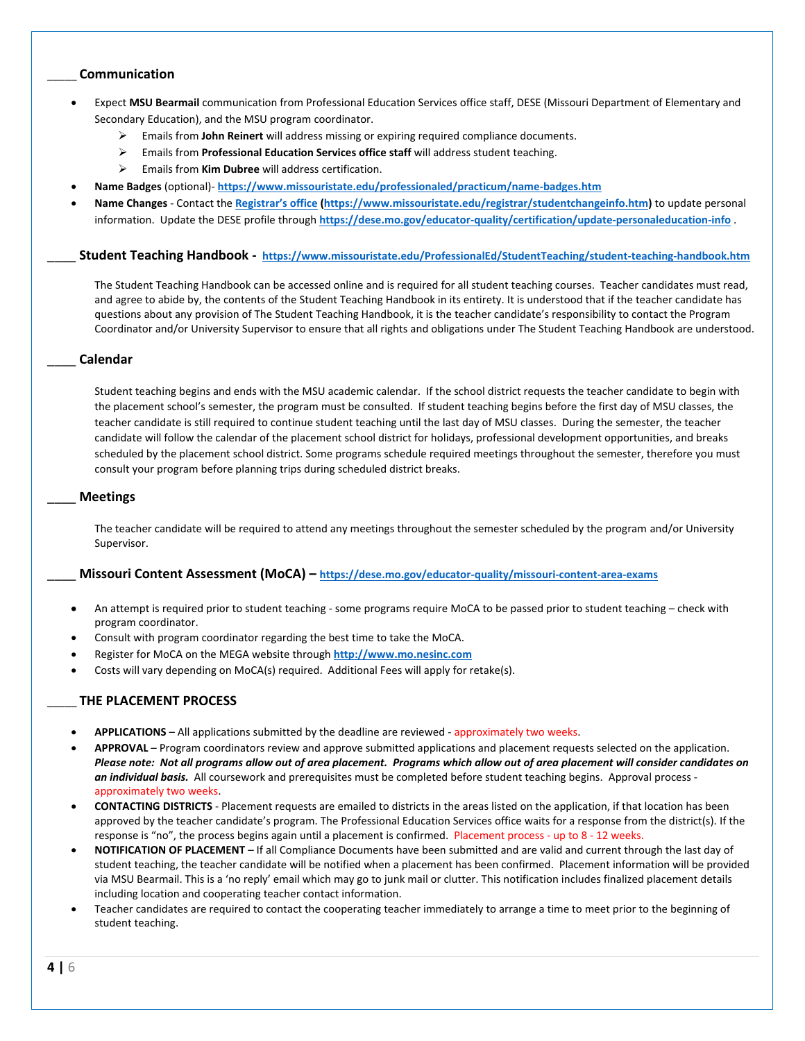### \_\_\_\_\_ **Communication**

- Expect **MSU Bearmail** communication from Professional Education Services office staff, DESE (Missouri Department of Elementary and Secondary Education), and the MSU program coordinator.
	- Emails from **John Reinert** will address missing or expiring required compliance documents.
	- Emails from **Professional Education Services office staff** will address student teaching.
	- Emails from **Kim Dubree** will address certification.
- **Name Badges** (optional)- **<https://www.missouristate.edu/professionaled/practicum/name-badges.htm>**
- **Name Changes** Contact the **[Registrar's office](https://www.missouristate.edu/registrar/studentchangeinfo.htm) [\(https://www.missouristate.edu/registrar/studentchangeinfo.htm\)](https://www.missouristate.edu/registrar/studentchangeinfo.htm)** to update personal information. Update the DESE profile through **<https://dese.mo.gov/educator-quality/certification/update-personaleducation-info>** .

\_\_\_\_ **Student Teaching Handbook - <https://www.missouristate.edu/ProfessionalEd/StudentTeaching/student-teaching-handbook.htm>**

The Student Teaching Handbook can be accessed online and is required for all student teaching courses. Teacher candidates must read, and agree to abide by, the contents of the Student Teaching Handbook in its entirety. It is understood that if the teacher candidate has questions about any provision of The Student Teaching Handbook, it is the teacher candidate's responsibility to contact the Program Coordinator and/or University Supervisor to ensure that all rights and obligations under The Student Teaching Handbook are understood.

#### \_\_\_\_ **Calendar**

Student teaching begins and ends with the MSU academic calendar. If the school district requests the teacher candidate to begin with the placement school's semester, the program must be consulted. If student teaching begins before the first day of MSU classes, the teacher candidate is still required to continue student teaching until the last day of MSU classes. During the semester, the teacher candidate will follow the calendar of the placement school district for holidays, professional development opportunities, and breaks scheduled by the placement school district. Some programs schedule required meetings throughout the semester, therefore you must consult your program before planning trips during scheduled district breaks.

#### \_\_\_\_ **Meetings**

The teacher candidate will be required to attend any meetings throughout the semester scheduled by the program and/or University Supervisor.

### \_\_\_\_ **Missouri Content Assessment (MoCA) – <https://dese.mo.gov/educator-quality/missouri-content-area-exams>**

- An attempt is required prior to student teaching some programs require MoCA to be passed prior to student teaching check with program coordinator.
- Consult with program coordinator regarding the best time to take the MoCA.
- Register for MoCA on the MEGA website through **[http://www.mo.nesinc.com](http://www.mo.nesinc.com/)**
- Costs will vary depending on MoCA(s) required. Additional Fees will apply for retake(s).

#### \_\_\_\_\_ **THE PLACEMENT PROCESS**

- **APPLICATIONS** All applications submitted by the deadline are reviewed approximately two weeks.
- **APPROVAL** Program coordinators review and approve submitted applications and placement requests selected on the application. *Please note: Not all programs allow out of area placement. Programs which allow out of area placement will consider candidates on an individual basis.* All coursework and prerequisites must be completed before student teaching begins. Approval process approximately two weeks.
- **CONTACTING DISTRICTS** Placement requests are emailed to districts in the areas listed on the application, if that location has been approved by the teacher candidate's program. The Professional Education Services office waits for a response from the district(s). If the response is "no", the process begins again until a placement is confirmed. Placement process - up to 8 - 12 weeks.
- **NOTIFICATION OF PLACEMENT** If all Compliance Documents have been submitted and are valid and current through the last day of student teaching, the teacher candidate will be notified when a placement has been confirmed. Placement information will be provided via MSU Bearmail. This is a 'no reply' email which may go to junk mail or clutter. This notification includes finalized placement details including location and cooperating teacher contact information.
- Teacher candidates are required to contact the cooperating teacher immediately to arrange a time to meet prior to the beginning of student teaching.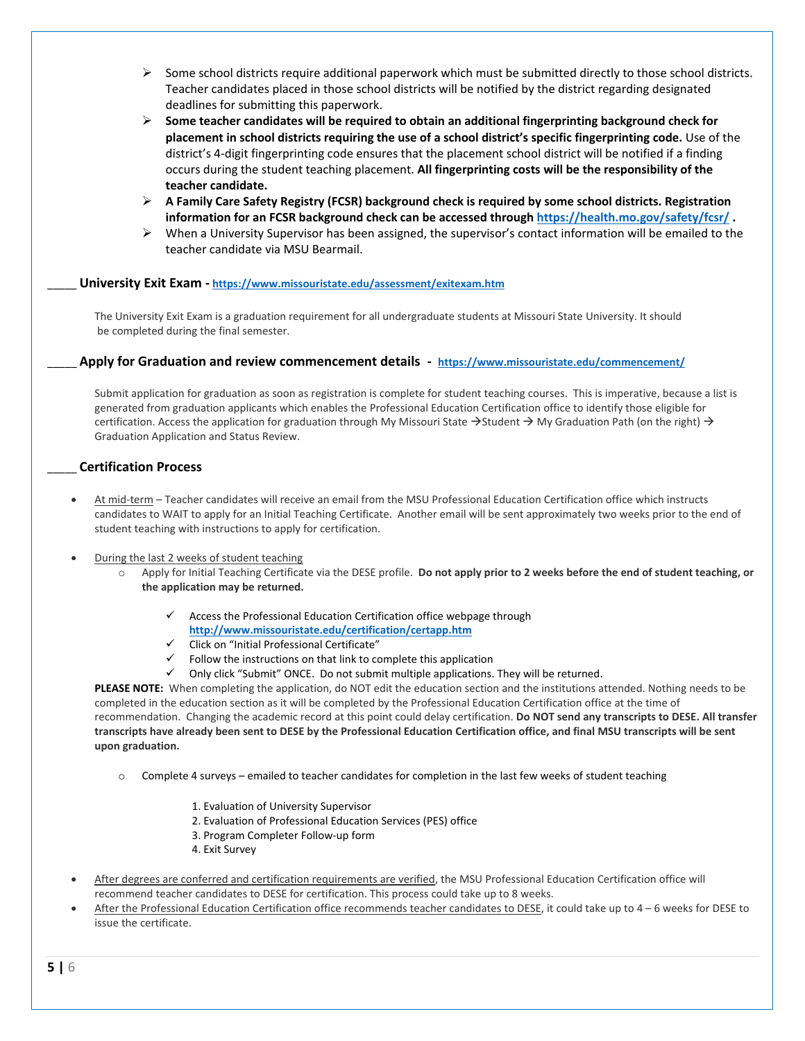- $\triangleright$  Some school districts require additional paperwork which must be submitted directly to those school districts. Teacher candidates placed in those school districts will be notified by the district regarding designated deadlines for submitting this paperwork.
- **Some teacher candidates will be required to obtain an additional fingerprinting background check for placement in school districts requiring the use of a school district's specific fingerprinting code.** Use of the district's 4-digit fingerprinting code ensures that the placement school district will be notified if a finding occurs during the student teaching placement. **All fingerprinting costs will be the responsibility of the teacher candidate.**
- **A Family Care Safety Registry (FCSR) background check is required by some school districts. Registration information for an FCSR background check can be accessed throug[h https://health.mo.gov/safety/fcsr/](https://health.mo.gov/safety/fcsr/) .**
- $\triangleright$  When a University Supervisor has been assigned, the supervisor's contact information will be emailed to the teacher candidate via MSU Bearmail.

### \_\_\_\_\_ **University Exit Exam - <https://www.missouristate.edu/assessment/exitexam.htm>**

The University Exit Exam is a graduation requirement for all undergraduate students at Missouri State University. It should be completed during the final semester.

### \_\_\_\_\_ **Apply for Graduation and review commencement details - <https://www.missouristate.edu/commencement/>**

Submit application for graduation as soon as registration is complete for student teaching courses. This is imperative, because a list is generated from graduation applicants which enables the Professional Education Certification office to identify those eligible for certification. Access the application for graduation through My Missouri State  $\rightarrow$  Student  $\rightarrow$  My Graduation Path (on the right)  $\rightarrow$ Graduation Application and Status Review.

### \_\_\_\_\_ **Certification Process**

- At mid-term Teacher candidates will receive an email from the MSU Professional Education Certification office which instructs candidates to WAIT to apply for an Initial Teaching Certificate. Another email will be sent approximately two weeks prior to the end of student teaching with instructions to apply for certification.
- During the last 2 weeks of student teaching
	- o Apply for Initial Teaching Certificate via the DESE profile. **Do not apply prior to 2 weeks before the end of student teaching, or the application may be returned.**
		- $\checkmark$  Access the Professional Education Certification office webpage through **<http://www.missouristate.edu/certification/certapp.htm>**
		- $\checkmark$  Click on "Initial Professional Certificate"
		- Follow the instructions on that link to complete this application
		- $\checkmark$  Only click "Submit" ONCE. Do not submit multiple applications. They will be returned.

**PLEASE NOTE:** When completing the application, do NOT edit the education section and the institutions attended. Nothing needs to be completed in the education section as it will be completed by the Professional Education Certification office at the time of recommendation. Changing the academic record at this point could delay certification. **Do NOT send any transcripts to DESE. All transfer transcripts have already been sent to DESE by the Professional Education Certification office, and final MSU transcripts will be sent upon graduation.**

- Complete 4 surveys emailed to teacher candidates for completion in the last few weeks of student teaching
	- 1. Evaluation of University Supervisor
	- 2. Evaluation of Professional Education Services (PES) office
	- 3. Program Completer Follow-up form
	- 4. Exit Survey
- After degrees are conferred and certification requirements are verified, the MSU Professional Education Certification office will recommend teacher candidates to DESE for certification. This process could take up to 8 weeks.
- After the Professional Education Certification office recommends teacher candidates to DESE, it could take up to 4 6 weeks for DESE to issue the certificate.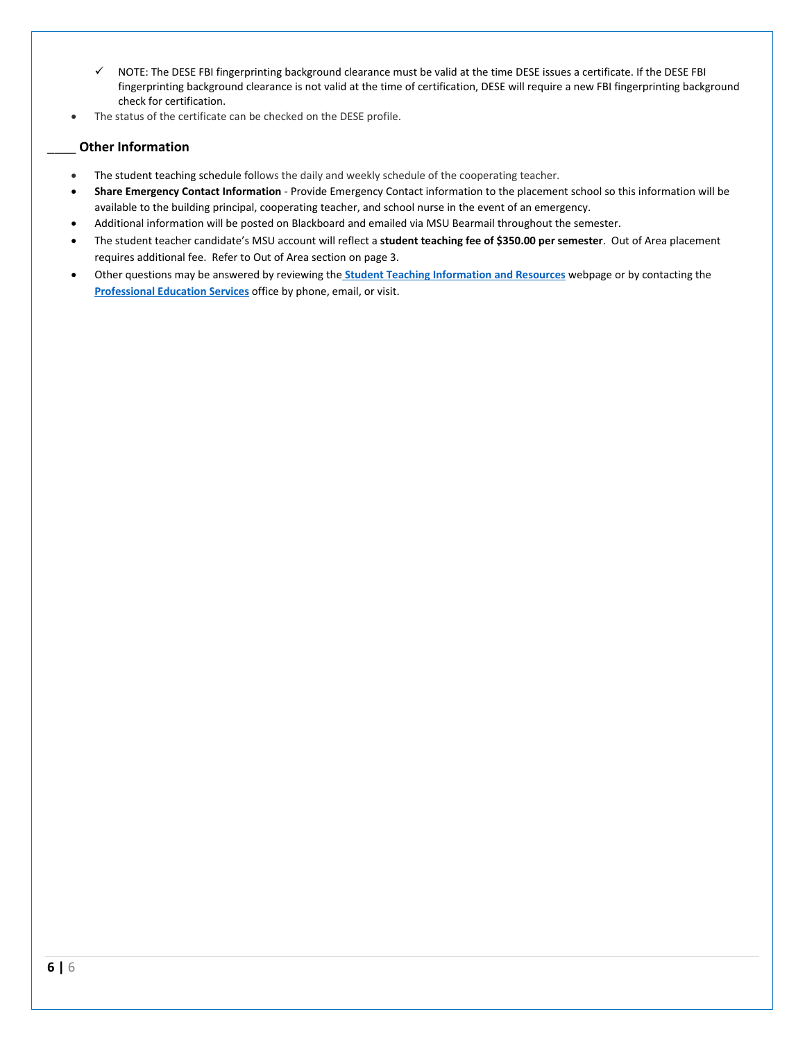- $\checkmark$  NOTE: The DESE FBI fingerprinting background clearance must be valid at the time DESE issues a certificate. If the DESE FBI fingerprinting background clearance is not valid at the time of certification, DESE will require a new FBI fingerprinting background check for certification.
- The status of the certificate can be checked on the DESE profile.

# \_\_\_\_ **Other Information**

- The student teaching schedule follows the daily and weekly schedule of the cooperating teacher.
- **Share Emergency Contact Information** Provide Emergency Contact information to the placement school so this information will be available to the building principal, cooperating teacher, and school nurse in the event of an emergency.
- Additional information will be posted on Blackboard and emailed via MSU Bearmail throughout the semester.
- The student teacher candidate's MSU account will reflect a **student teaching fee of \$350.00 per semester**. Out of Area placement requires additional fee. Refer to Out of Area section on page 3.
- Other questions may be answered by reviewing the **[Student Teaching Information and Resources](https://www.missouristate.edu/professionaled/studentteaching/)** webpage or by contacting the **[Professional Education Services](https://www.missouristate.edu/professionaled/)** office by phone, email, or visit.